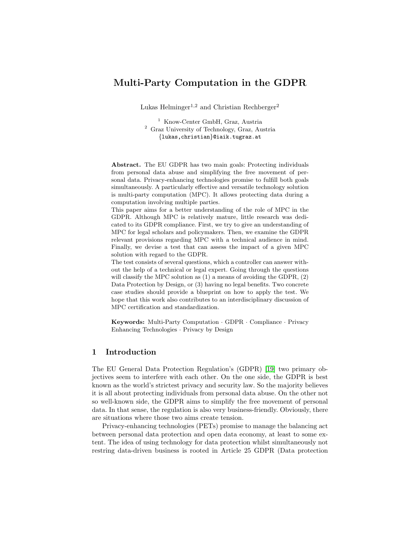# Multi-Party Computation in the GDPR

Lukas Helminger<sup>1,2</sup> and Christian Rechberger<sup>2</sup>

<sup>1</sup> Know-Center GmbH, Graz, Austria <sup>2</sup> Graz University of Technology, Graz, Austria {lukas,christian}@iaik.tugraz.at

Abstract. The EU GDPR has two main goals: Protecting individuals from personal data abuse and simplifying the free movement of personal data. Privacy-enhancing technologies promise to fulfill both goals simultaneously. A particularly effective and versatile technology solution is multi-party computation (MPC). It allows protecting data during a computation involving multiple parties.

This paper aims for a better understanding of the role of MPC in the GDPR. Although MPC is relatively mature, little research was dedicated to its GDPR compliance. First, we try to give an understanding of MPC for legal scholars and policymakers. Then, we examine the GDPR relevant provisions regarding MPC with a technical audience in mind. Finally, we devise a test that can assess the impact of a given MPC solution with regard to the GDPR.

The test consists of several questions, which a controller can answer without the help of a technical or legal expert. Going through the questions will classify the MPC solution as (1) a means of avoiding the GDPR, (2) Data Protection by Design, or (3) having no legal benefits. Two concrete case studies should provide a blueprint on how to apply the test. We hope that this work also contributes to an interdisciplinary discussion of MPC certification and standardization.

Keywords: Multi-Party Computation · GDPR · Compliance · Privacy Enhancing Technologies · Privacy by Design

## 1 Introduction

The EU General Data Protection Regulation's (GDPR) [\[19\]](#page-16-0) two primary objectives seem to interfere with each other. On the one side, the GDPR is best known as the world's strictest privacy and security law. So the majority believes it is all about protecting individuals from personal data abuse. On the other not so well-known side, the GDPR aims to simplify the free movement of personal data. In that sense, the regulation is also very business-friendly. Obviously, there are situations where those two aims create tension.

Privacy-enhancing technologies (PETs) promise to manage the balancing act between personal data protection and open data economy, at least to some extent. The idea of using technology for data protection whilst simultaneously not restring data-driven business is rooted in Article 25 GDPR (Data protection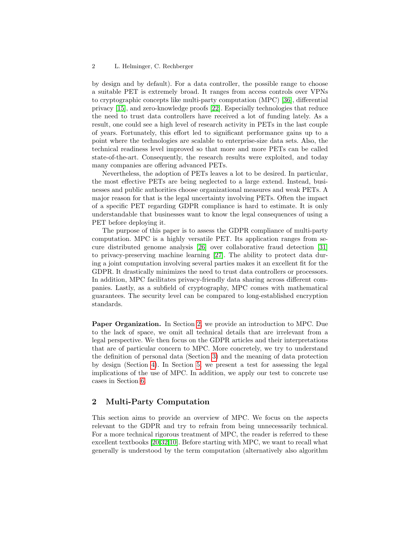#### 2 L. Helminger, C. Rechberger

by design and by default). For a data controller, the possible range to choose a suitable PET is extremely broad. It ranges from access controls over VPNs to cryptographic concepts like multi-party computation (MPC) [\[36\]](#page-17-0), differential privacy [\[15\]](#page-16-1), and zero-knowledge proofs [\[22\]](#page-16-2). Especially technologies that reduce the need to trust data controllers have received a lot of funding lately. As a result, one could see a high level of research activity in PETs in the last couple of years. Fortunately, this effort led to significant performance gains up to a point where the technologies are scalable to enterprise-size data sets. Also, the technical readiness level improved so that more and more PETs can be called state-of-the-art. Consequently, the research results were exploited, and today many companies are offering advanced PETs.

Nevertheless, the adoption of PETs leaves a lot to be desired. In particular, the most effective PETs are being neglected to a large extend. Instead, businesses and public authorities choose organizational measures and weak PETs. A major reason for that is the legal uncertainty involving PETs. Often the impact of a specific PET regarding GDPR compliance is hard to estimate. It is only understandable that businesses want to know the legal consequences of using a PET before deploying it.

The purpose of this paper is to assess the GDPR compliance of multi-party computation. MPC is a highly versatile PET. Its application ranges from secure distributed genome analysis [\[26\]](#page-16-3) over collaborative fraud detection [\[31\]](#page-17-1) to privacy-preserving machine learning [\[27\]](#page-16-4). The ability to protect data during a joint computation involving several parties makes it an excellent fit for the GDPR. It drastically minimizes the need to trust data controllers or processors. In addition, MPC facilitates privacy-friendly data sharing across different companies. Lastly, as a subfield of cryptography, MPC comes with mathematical guarantees. The security level can be compared to long-established encryption standards.

Paper Organization. In Section [2,](#page-1-0) we provide an introduction to MPC. Due to the lack of space, we omit all technical details that are irrelevant from a legal perspective. We then focus on the GDPR articles and their interpretations that are of particular concern to MPC. More concretely, we try to understand the definition of personal data (Section [3\)](#page-3-0) and the meaning of data protection by design (Section [4\)](#page-6-0). In Section [5,](#page-9-0) we present a test for assessing the legal implications of the use of MPC. In addition, we apply our test to concrete use cases in Section [6.](#page-12-0)

## <span id="page-1-0"></span>2 Multi-Party Computation

This section aims to provide an overview of MPC. We focus on the aspects relevant to the GDPR and try to refrain from being unnecessarily technical. For a more technical rigorous treatment of MPC, the reader is referred to these excellent textbooks [\[20,](#page-16-5)[32,](#page-17-2)[10\]](#page-16-6). Before starting with MPC, we want to recall what generally is understood by the term computation (alternatively also algorithm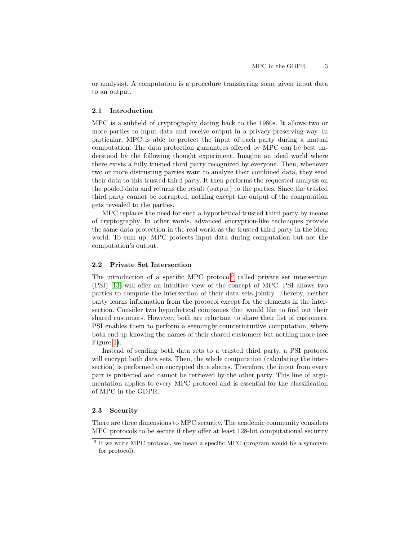or analysis). A computation is a procedure transferring some given input data to an output.

#### 2.1 Introduction

MPC is a subfield of cryptography dating back to the 1980s. It allows two or more parties to input data and receive output in a privacy-preserving way. In particular, MPC is able to protect the input of each party during a mutual computation. The data protection guarantees offered by MPC can be best understood by the following thought experiment. Imagine an ideal world where there exists a fully trusted third party recognized by everyone. Then, whenever two or more distrusting parties want to analyze their combined data, they send their data to this trusted third party. It then performs the requested analysis on the pooled data and returns the result (output) to the parties. Since the trusted third party cannot be corrupted, nothing except the output of the computation gets revealed to the parties.

MPC replaces the need for such a hypothetical trusted third party by means of cryptography. In other words, advanced encryption-like techniques provide the same data protection in the real world as the trusted third party in the ideal world. To sum up, MPC protects input data during computation but not the computation's output.

#### <span id="page-2-1"></span>2.2 Private Set Intersection

The introduction of a specific MPC protocol<sup>[3](#page-2-0)</sup> called private set intersection (PSI) [\[13\]](#page-16-7) will offer an intuitive view of the concept of MPC. PSI allows two parties to compute the intersection of their data sets jointly. Thereby, neither party learns information from the protocol except for the elements in the intersection. Consider two hypothetical companies that would like to find out their shared customers. However, both are reluctant to share their list of customers. PSI enables them to perform a seemingly counterintuitive computation, where both end up knowing the names of their shared customers but nothing more (see Figure [1\)](#page-3-1).

Instead of sending both data sets to a trusted third party, a PSI protocol will encrypt both data sets. Then, the whole computation (calculating the intersection) is performed on encrypted data shares. Therefore, the input from every part is protected and cannot be retrieved by the other party. This line of argumentation applies to every MPC protocol and is essential for the classification of MPC in the GDPR.

#### 2.3 Security

There are three dimensions to MPC security. The academic community considers MPC protocols to be secure if they offer at least 128-bit computational security

<span id="page-2-0"></span><sup>&</sup>lt;sup>3</sup> If we write MPC protocol, we mean a specific MPC (program would be a synonym for protocol).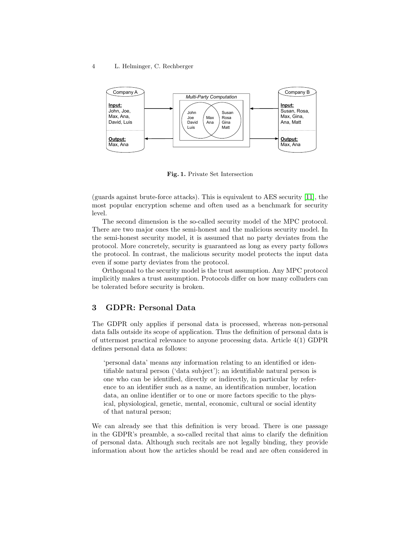#### 4 L. Helminger, C. Rechberger



<span id="page-3-1"></span>Fig. 1. Private Set Intersection

(guards against brute-force attacks). This is equivalent to AES security [\[11\]](#page-16-8), the most popular encryption scheme and often used as a benchmark for security level.

The second dimension is the so-called security model of the MPC protocol. There are two major ones the semi-honest and the malicious security model. In the semi-honest security model, it is assumed that no party deviates from the protocol. More concretely, security is guaranteed as long as every party follows the protocol. In contrast, the malicious security model protects the input data even if some party deviates from the protocol.

Orthogonal to the security model is the trust assumption. Any MPC protocol implicitly makes a trust assumption. Protocols differ on how many colluders can be tolerated before security is broken.

## <span id="page-3-0"></span>3 GDPR: Personal Data

The GDPR only applies if personal data is processed, whereas non-personal data falls outside its scope of application. Thus the definition of personal data is of uttermost practical relevance to anyone processing data. Article 4(1) GDPR defines personal data as follows:

'personal data' means any information relating to an identified or identifiable natural person ('data subject'); an identifiable natural person is one who can be identified, directly or indirectly, in particular by reference to an identifier such as a name, an identification number, location data, an online identifier or to one or more factors specific to the physical, physiological, genetic, mental, economic, cultural or social identity of that natural person;

We can already see that this definition is very broad. There is one passage in the GDPR's preamble, a so-called recital that aims to clarify the definition of personal data. Although such recitals are not legally binding, they provide information about how the articles should be read and are often considered in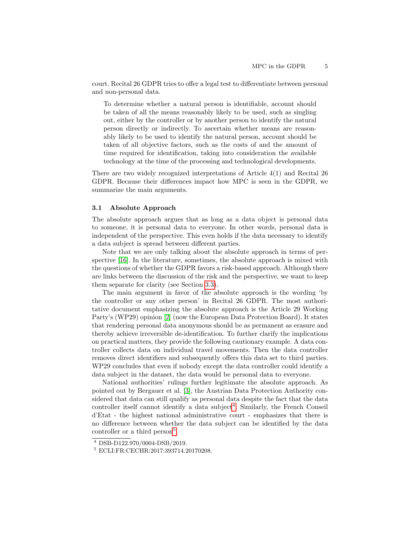court. Recital 26 GDPR tries to offer a legal test to differentiate between personal and non-personal data.

To determine whether a natural person is identifiable, account should be taken of all the means reasonably likely to be used, such as singling out, either by the controller or by another person to identify the natural person directly or indirectly. To ascertain whether means are reasonably likely to be used to identify the natural person, account should be taken of all objective factors, such as the costs of and the amount of time required for identification, taking into consideration the available technology at the time of the processing and technological developments.

There are two widely recognized interpretations of Article 4(1) and Recital 26 GDPR. Because their differences impact how MPC is seen in the GDPR, we summarize the main arguments.

### 3.1 Absolute Approach

The absolute approach argues that as long as a data object is personal data to someone, it is personal data to everyone. In other words, personal data is independent of the perspective. This even holds if the data necessary to identify a data subject is spread between different parties.

Note that we are only talking about the absolute approach in terms of perspective [\[16\]](#page-16-9). In the literature, sometimes, the absolute approach is mixed with the questions of whether the GDPR favors a risk-based approach. Although there are links between the discussion of the risk and the perspective, we want to keep them separate for clarity (see Section [3.3\)](#page-5-0).

The main argument in favor of the absolute approach is the wording 'by the controller or any other person' in Recital 26 GDPR. The most authoritative document emphasizing the absolute approach is the Article 29 Working Party's (WP29) opinion [\[2\]](#page-15-0) (now the European Data Protection Board). It states that rendering personal data anonymous should be as permanent as erasure and thereby achieve irreversible de-identification. To further clarify the implications on practical matters, they provide the following cautionary example. A data controller collects data on individual travel movements. Then the data controller removes direct identifiers and subsequently offers this data set to third parties. WP29 concludes that even if nobody except the data controller could identify a data subject in the dataset, the data would be personal data to everyone.

National authorities' rulings further legitimate the absolute approach. As pointed out by Bergauer et al. [\[3\]](#page-15-1), the Austrian Data Protection Authority considered that data can still qualify as personal data despite the fact that the data controller itself cannot identify a data subject<sup>[4](#page-4-0)</sup>. Similarly, the French Conseil d'Etat - the highest national administrative court - emphasizes that there is no difference between whether the data subject can be identified by the data controller or a third person<sup>[5](#page-4-1)</sup>.

<span id="page-4-0"></span><sup>4</sup> DSB-D122.970/0004-DSB/2019.

<span id="page-4-1"></span><sup>5</sup> ECLI:FR:CECHR:2017:393714.20170208.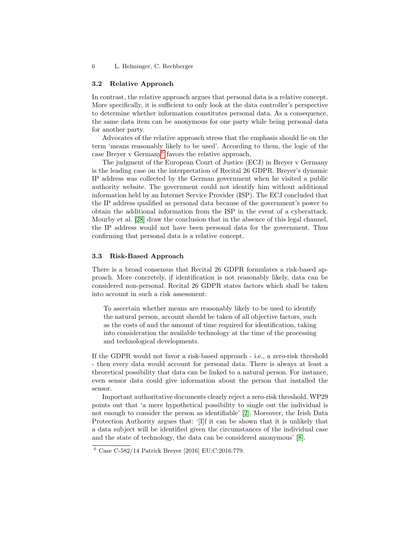#### 3.2 Relative Approach

In contrast, the relative approach argues that personal data is a relative concept. More specifically, it is sufficient to only look at the data controller's perspective to determine whether information constitutes personal data. As a consequence, the same data item can be anonymous for one party while being personal data for another party.

Advocates of the relative approach stress that the emphasis should lie on the term 'means reasonably likely to be used'. According to them, the logic of the case Breyer v Germany<sup>[6](#page-5-1)</sup> favors the relative approach.

The judgment of the European Court of Justice (ECJ) in Breyer v Germany is the leading case on the interpretation of Recital 26 GDPR. Breyer's dynamic IP address was collected by the German government when he visited a public authority website. The government could not identify him without additional information held by an Internet Service Provider (ISP). The ECJ concluded that the IP address qualified as personal data because of the government's power to obtain the additional information from the ISP in the event of a cyberattack. Mourby et al. [\[28\]](#page-16-10) draw the conclusion that in the absence of this legal channel, the IP address would not have been personal data for the government. Thus confirming that personal data is a relative concept.

## <span id="page-5-0"></span>3.3 Risk-Based Approach

There is a broad consensus that Recital 26 GDPR formulates a risk-based approach. More concretely, if identification is not reasonably likely, data can be considered non-personal. Recital 26 GDPR states factors which shall be taken into account in such a risk assessment:

To ascertain whether means are reasonably likely to be used to identify the natural person, account should be taken of all objective factors, such as the costs of and the amount of time required for identification, taking into consideration the available technology at the time of the processing and technological developments.

If the GDPR would not favor a risk-based approach - i.e., a zero-risk threshold - then every data would account for personal data. There is always at least a theoretical possibility that data can be linked to a natural person. For instance, even sensor data could give information about the person that installed the sensor.

Important authoritative documents clearly reject a zero-risk threshold. WP29 points out that 'a mere hypothetical possibility to single out the individual is not enough to consider the person as identifiable' [\[2\]](#page-15-0). Moreover, the Irish Data Protection Authority argues that: '[I]f it can be shown that it is unlikely that a data subject will be identified given the circumstances of the individual case and the state of technology, the data can be considered anonymous' [\[8\]](#page-15-2).

<span id="page-5-1"></span> $6 \text{ Case C-582}/14 \text{ Patrick Breyer}$  [2016] EU:C:2016:779.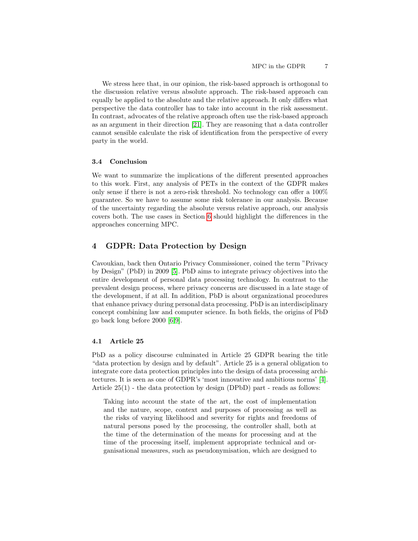We stress here that, in our opinion, the risk-based approach is orthogonal to the discussion relative versus absolute approach. The risk-based approach can equally be applied to the absolute and the relative approach. It only differs what perspective the data controller has to take into account in the risk assessment. In contrast, advocates of the relative approach often use the risk-based approach as an argument in their direction [\[21\]](#page-16-11). They are reasoning that a data controller cannot sensible calculate the risk of identification from the perspective of every party in the world.

### 3.4 Conclusion

We want to summarize the implications of the different presented approaches to this work. First, any analysis of PETs in the context of the GDPR makes only sense if there is not a zero-risk threshold. No technology can offer a 100% guarantee. So we have to assume some risk tolerance in our analysis. Because of the uncertainty regarding the absolute versus relative approach, our analysis covers both. The use cases in Section [6](#page-12-0) should highlight the differences in the approaches concerning MPC.

## <span id="page-6-0"></span>4 GDPR: Data Protection by Design

Cavoukian, back then Ontario Privacy Commissioner, coined the term "Privacy by Design" (PbD) in 2009 [\[5\]](#page-15-3). PbD aims to integrate privacy objectives into the entire development of personal data processing technology. In contrast to the prevalent design process, where privacy concerns are discussed in a late stage of the development, if at all. In addition, PbD is about organizational procedures that enhance privacy during personal data processing. PbD is an interdisciplinary concept combining law and computer science. In both fields, the origins of PbD go back long before 2000 [\[6,](#page-15-4)[9\]](#page-15-5).

### 4.1 Article 25

PbD as a policy discourse culminated in Article 25 GDPR bearing the title "data protection by design and by default". Article 25 is a general obligation to integrate core data protection principles into the design of data processing architectures. It is seen as one of GDPR's 'most innovative and ambitious norms' [\[4\]](#page-15-6). Article  $25(1)$  - the data protection by design (DPbD) part - reads as follows:

Taking into account the state of the art, the cost of implementation and the nature, scope, context and purposes of processing as well as the risks of varying likelihood and severity for rights and freedoms of natural persons posed by the processing, the controller shall, both at the time of the determination of the means for processing and at the time of the processing itself, implement appropriate technical and organisational measures, such as pseudonymisation, which are designed to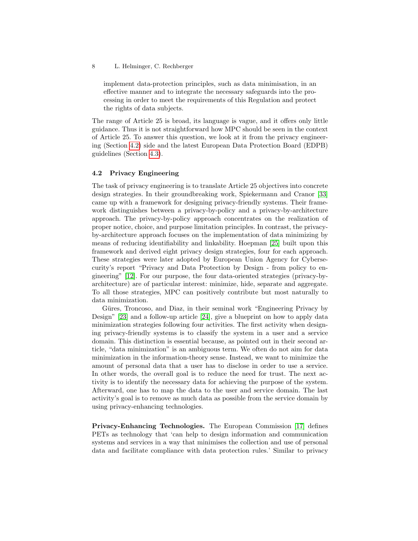implement data-protection principles, such as data minimisation, in an effective manner and to integrate the necessary safeguards into the processing in order to meet the requirements of this Regulation and protect the rights of data subjects.

The range of Article 25 is broad, its language is vague, and it offers only little guidance. Thus it is not straightforward how MPC should be seen in the context of Article 25. To answer this question, we look at it from the privacy engineering (Section [4.2\)](#page-7-0) side and the latest European Data Protection Board (EDPB) guidelines (Section [4.3\)](#page-8-0).

## <span id="page-7-0"></span>4.2 Privacy Engineering

The task of privacy engineering is to translate Article 25 objectives into concrete design strategies. In their groundbreaking work, Spiekermann and Cranor [\[33\]](#page-17-3) came up with a framework for designing privacy-friendly systems. Their framework distinguishes between a privacy-by-policy and a privacy-by-architecture approach. The privacy-by-policy approach concentrates on the realization of proper notice, choice, and purpose limitation principles. In contrast, the privacyby-architecture approach focuses on the implementation of data minimizing by means of reducing identifiability and linkability. Hoepman [\[25\]](#page-16-12) built upon this framework and derived eight privacy design strategies, four for each approach. These strategies were later adopted by European Union Agency for Cybersecurity's report "Privacy and Data Protection by Design - from policy to engineering" [\[12\]](#page-16-13). For our purpose, the four data-oriented strategies (privacy-byarchitecture) are of particular interest: minimize, hide, separate and aggregate. To all those strategies, MPC can positively contribute but most naturally to data minimization.

Güres, Troncoso, and Diaz, in their seminal work "Engineering Privacy by Design" [\[23\]](#page-16-14) and a follow-up article [\[24\]](#page-16-15), give a blueprint on how to apply data minimization strategies following four activities. The first activity when designing privacy-friendly systems is to classify the system in a user and a service domain. This distinction is essential because, as pointed out in their second article, "data minimization" is an ambiguous term. We often do not aim for data minimization in the information-theory sense. Instead, we want to minimize the amount of personal data that a user has to disclose in order to use a service. In other words, the overall goal is to reduce the need for trust. The next activity is to identify the necessary data for achieving the purpose of the system. Afterward, one has to map the data to the user and service domain. The last activity's goal is to remove as much data as possible from the service domain by using privacy-enhancing technologies.

Privacy-Enhancing Technologies. The European Commission [\[17\]](#page-16-16) defines PETs as technology that 'can help to design information and communication systems and services in a way that minimises the collection and use of personal data and facilitate compliance with data protection rules.' Similar to privacy

<sup>8</sup> L. Helminger, C. Rechberger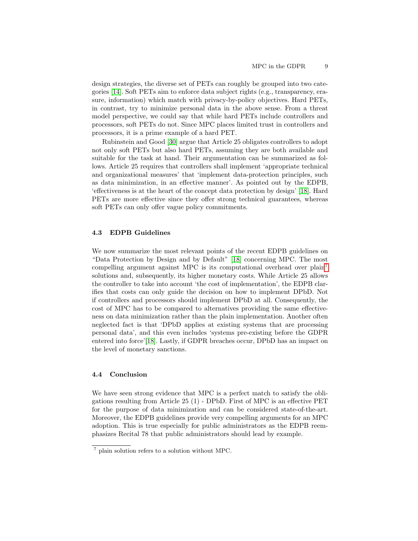design strategies, the diverse set of PETs can roughly be grouped into two categories [\[14\]](#page-16-17). Soft PETs aim to enforce data subject rights (e.g., transparency, erasure, information) which match with privacy-by-policy objectives. Hard PETs, in contrast, try to minimize personal data in the above sense. From a threat model perspective, we could say that while hard PETs include controllers and processors, soft PETs do not. Since MPC places limited trust in controllers and processors, it is a prime example of a hard PET.

Rubinstein and Good [\[30\]](#page-17-4) argue that Article 25 obligates controllers to adopt not only soft PETs but also hard PETs, assuming they are both available and suitable for the task at hand. Their argumentation can be summarized as follows. Article 25 requires that controllers shall implement 'appropriate technical and organizational measures' that 'implement data-protection principles, such as data minimization, in an effective manner'. As pointed out by the EDPB, 'effectiveness is at the heart of the concept data protection by design' [\[18\]](#page-16-18). Hard PETs are more effective since they offer strong technical guarantees, whereas soft PETs can only offer vague policy commitments.

### <span id="page-8-0"></span>4.3 EDPB Guidelines

We now summarize the most relevant points of the recent EDPB guidelines on "Data Protection by Design and by Default" [\[18\]](#page-16-18) concerning MPC. The most compelling argument against MPC is its computational overhead over plain<sup>[7](#page-8-1)</sup> solutions and, subsequently, its higher monetary costs. While Article 25 allows the controller to take into account 'the cost of implementation', the EDPB clarifies that costs can only guide the decision on how to implement DPbD. Not if controllers and processors should implement DPbD at all. Consequently, the cost of MPC has to be compared to alternatives providing the same effectiveness on data minimization rather than the plain implementation. Another often neglected fact is that 'DPbD applies at existing systems that are processing personal data', and this even includes 'systems pre-existing before the GDPR entered into force'[\[18\]](#page-16-18). Lastly, if GDPR breaches occur, DPbD has an impact on the level of monetary sanctions.

### 4.4 Conclusion

We have seen strong evidence that MPC is a perfect match to satisfy the obligations resulting from Article 25 (1) - DPbD. First of MPC is an effective PET for the purpose of data minimization and can be considered state-of-the-art. Moreover, the EDPB guidelines provide very compelling arguments for an MPC adoption. This is true especially for public administrators as the EDPB reemphasizes Recital 78 that public administrators should lead by example.

<span id="page-8-1"></span><sup>7</sup> plain solution refers to a solution without MPC.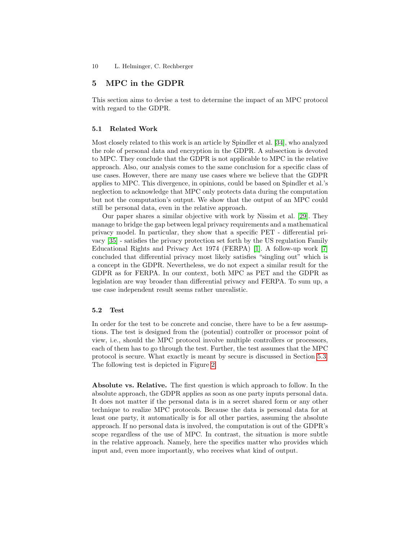## <span id="page-9-0"></span>5 MPC in the GDPR

This section aims to devise a test to determine the impact of an MPC protocol with regard to the GDPR.

### 5.1 Related Work

Most closely related to this work is an article by Spindler et al. [\[34\]](#page-17-5), who analyzed the role of personal data and encryption in the GDPR. A subsection is devoted to MPC. They conclude that the GDPR is not applicable to MPC in the relative approach. Also, our analysis comes to the same conclusion for a specific class of use cases. However, there are many use cases where we believe that the GDPR applies to MPC. This divergence, in opinions, could be based on Spindler et al.'s neglection to acknowledge that MPC only protects data during the computation but not the computation's output. We show that the output of an MPC could still be personal data, even in the relative approach.

Our paper shares a similar objective with work by Nissim et al. [\[29\]](#page-17-6). They manage to bridge the gap between legal privacy requirements and a mathematical privacy model. In particular, they show that a specific PET - differential privacy [\[35\]](#page-17-7) - satisfies the privacy protection set forth by the US regulation Family Educational Rights and Privacy Act 1974 (FERPA) [\[1\]](#page-15-7). A follow-up work [\[7\]](#page-15-8) concluded that differential privacy most likely satisfies "singling out" which is a concept in the GDPR. Nevertheless, we do not expect a similar result for the GDPR as for FERPA. In our context, both MPC as PET and the GDPR as legislation are way broader than differential privacy and FERPA. To sum up, a use case independent result seems rather unrealistic.

## 5.2 Test

In order for the test to be concrete and concise, there have to be a few assumptions. The test is designed from the (potential) controller or processor point of view, i.e., should the MPC protocol involve multiple controllers or processors, each of them has to go through the test. Further, the test assumes that the MPC protocol is secure. What exactly is meant by secure is discussed in Section [5.3.](#page-10-0) The following test is depicted in Figure [2.](#page-11-0)

Absolute vs. Relative. The first question is which approach to follow. In the absolute approach, the GDPR applies as soon as one party inputs personal data. It does not matter if the personal data is in a secret shared form or any other technique to realize MPC protocols. Because the data is personal data for at least one party, it automatically is for all other parties, assuming the absolute approach. If no personal data is involved, the computation is out of the GDPR's scope regardless of the use of MPC. In contrast, the situation is more subtle in the relative approach. Namely, here the specifics matter who provides which input and, even more importantly, who receives what kind of output.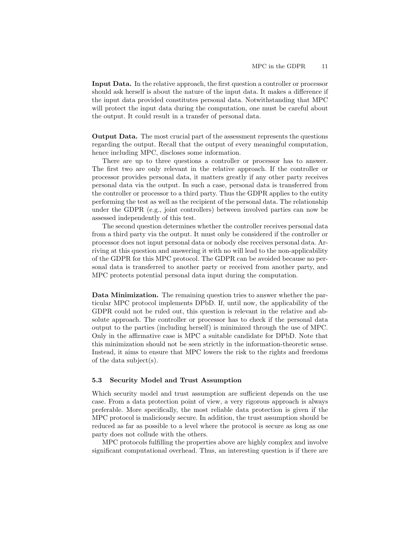Input Data. In the relative approach, the first question a controller or processor should ask herself is about the nature of the input data. It makes a difference if the input data provided constitutes personal data. Notwithstanding that MPC will protect the input data during the computation, one must be careful about the output. It could result in a transfer of personal data.

Output Data. The most crucial part of the assessment represents the questions regarding the output. Recall that the output of every meaningful computation, hence including MPC, discloses some information.

There are up to three questions a controller or processor has to answer. The first two are only relevant in the relative approach. If the controller or processor provides personal data, it matters greatly if any other party receives personal data via the output. In such a case, personal data is transferred from the controller or processor to a third party. Thus the GDPR applies to the entity performing the test as well as the recipient of the personal data. The relationship under the GDPR (e.g., joint controllers) between involved parties can now be assessed independently of this test.

The second question determines whether the controller receives personal data from a third party via the output. It must only be considered if the controller or processor does not input personal data or nobody else receives personal data. Arriving at this question and answering it with no will lead to the non-applicability of the GDPR for this MPC protocol. The GDPR can be avoided because no personal data is transferred to another party or received from another party, and MPC protects potential personal data input during the computation.

Data Minimization. The remaining question tries to answer whether the particular MPC protocol implements DPbD. If, until now, the applicability of the GDPR could not be ruled out, this question is relevant in the relative and absolute approach. The controller or processor has to check if the personal data output to the parties (including herself) is minimized through the use of MPC. Only in the affirmative case is MPC a suitable candidate for DPbD. Note that this minimization should not be seen strictly in the information-theoretic sense. Instead, it aims to ensure that MPC lowers the risk to the rights and freedoms of the data subject(s).

#### <span id="page-10-0"></span>5.3 Security Model and Trust Assumption

Which security model and trust assumption are sufficient depends on the use case. From a data protection point of view, a very rigorous approach is always preferable. More specifically, the most reliable data protection is given if the MPC protocol is maliciously secure. In addition, the trust assumption should be reduced as far as possible to a level where the protocol is secure as long as one party does not collude with the others.

MPC protocols fulfilling the properties above are highly complex and involve significant computational overhead. Thus, an interesting question is if there are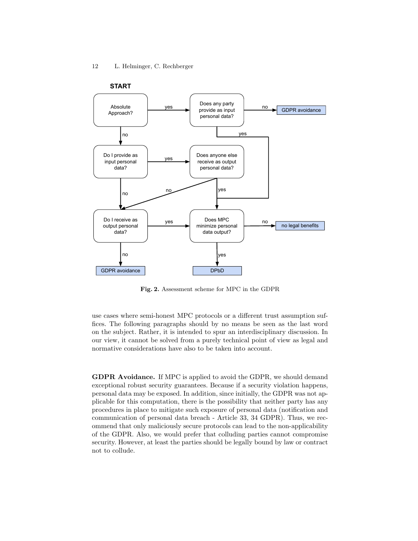

<span id="page-11-0"></span>Fig. 2. Assessment scheme for MPC in the GDPR

use cases where semi-honest MPC protocols or a different trust assumption suffices. The following paragraphs should by no means be seen as the last word on the subject. Rather, it is intended to spur an interdisciplinary discussion. In our view, it cannot be solved from a purely technical point of view as legal and normative considerations have also to be taken into account.

GDPR Avoidance. If MPC is applied to avoid the GDPR, we should demand exceptional robust security guarantees. Because if a security violation happens, personal data may be exposed. In addition, since initially, the GDPR was not applicable for this computation, there is the possibility that neither party has any procedures in place to mitigate such exposure of personal data (notification and communication of personal data breach - Article 33, 34 GDPR). Thus, we recommend that only maliciously secure protocols can lead to the non-applicability of the GDPR. Also, we would prefer that colluding parties cannot compromise security. However, at least the parties should be legally bound by law or contract not to collude.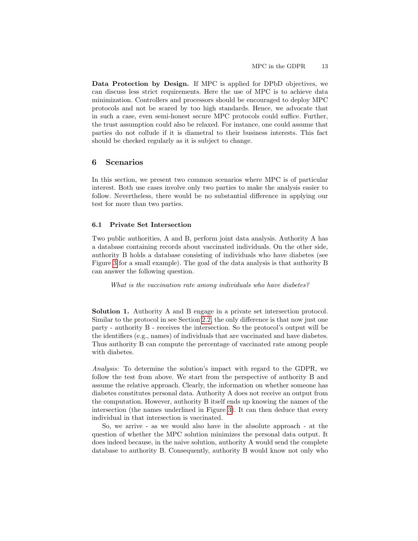Data Protection by Design. If MPC is applied for DPbD objectives, we can discuss less strict requirements. Here the use of MPC is to achieve data minimization. Controllers and processors should be encouraged to deploy MPC protocols and not be scared by too high standards. Hence, we advocate that in such a case, even semi-honest secure MPC protocols could suffice. Further, the trust assumption could also be relaxed. For instance, one could assume that parties do not collude if it is diametral to their business interests. This fact should be checked regularly as it is subject to change.

## <span id="page-12-0"></span>6 Scenarios

In this section, we present two common scenarios where MPC is of particular interest. Both use cases involve only two parties to make the analysis easier to follow. Nevertheless, there would be no substantial difference in applying our test for more than two parties.

### 6.1 Private Set Intersection

Two public authorities, A and B, perform joint data analysis. Authority A has a database containing records about vaccinated individuals. On the other side, authority B holds a database consisting of individuals who have diabetes (see Figure [3](#page-13-0) for a small example). The goal of the data analysis is that authority B can answer the following question.

What is the vaccination rate among individuals who have diabetes?

Solution 1. Authority A and B engage in a private set intersection protocol. Similar to the protocol in see Section [2.2,](#page-2-1) the only difference is that now just one party - authority B - receives the intersection. So the protocol's output will be the identifiers (e.g., names) of individuals that are vaccinated and have diabetes. Thus authority B can compute the percentage of vaccinated rate among people with diabetes.

Analysis: To determine the solution's impact with regard to the GDPR, we follow the test from above. We start from the perspective of authority B and assume the relative approach. Clearly, the information on whether someone has diabetes constitutes personal data. Authority A does not receive an output from the computation. However, authority B itself ends up knowing the names of the intersection (the names underlined in Figure [3\)](#page-13-0). It can then deduce that every individual in that intersection is vaccinated.

So, we arrive - as we would also have in the absolute approach - at the question of whether the MPC solution minimizes the personal data output. It does indeed because, in the naive solution, authority A would send the complete database to authority B. Consequently, authority B would know not only who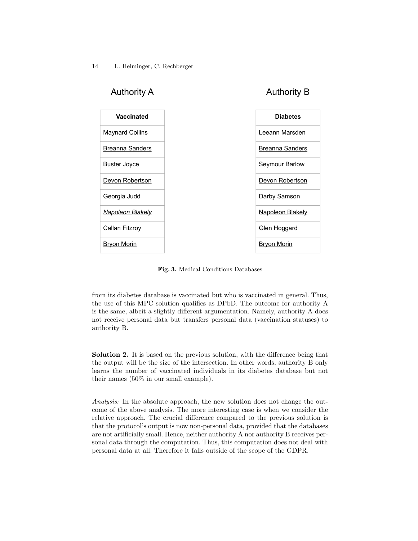

<span id="page-13-0"></span>Fig. 3. Medical Conditions Databases

from its diabetes database is vaccinated but who is vaccinated in general. Thus, the use of this MPC solution qualifies as DPbD. The outcome for authority A is the same, albeit a slightly different argumentation. Namely, authority A does not receive personal data but transfers personal data (vaccination statuses) to authority B.

Solution 2. It is based on the previous solution, with the difference being that the output will be the size of the intersection. In other words, authority B only learns the number of vaccinated individuals in its diabetes database but not their names (50% in our small example).

Analysis: In the absolute approach, the new solution does not change the outcome of the above analysis. The more interesting case is when we consider the relative approach. The crucial difference compared to the previous solution is that the protocol's output is now non-personal data, provided that the databases are not artificially small. Hence, neither authority A nor authority B receives personal data through the computation. Thus, this computation does not deal with personal data at all. Therefore it falls outside of the scope of the GDPR.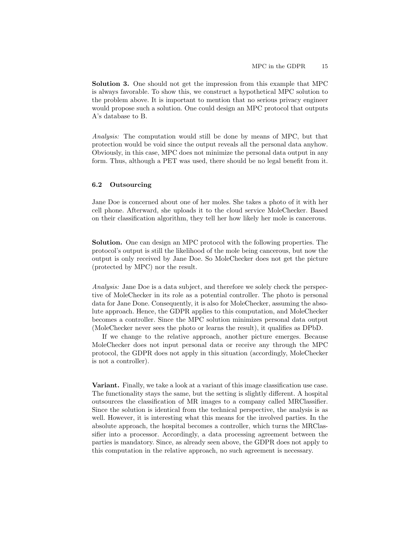Solution 3. One should not get the impression from this example that MPC is always favorable. To show this, we construct a hypothetical MPC solution to the problem above. It is important to mention that no serious privacy engineer would propose such a solution. One could design an MPC protocol that outputs A's database to B.

Analysis: The computation would still be done by means of MPC, but that protection would be void since the output reveals all the personal data anyhow. Obviously, in this case, MPC does not minimize the personal data output in any form. Thus, although a PET was used, there should be no legal benefit from it.

## 6.2 Outsourcing

Jane Doe is concerned about one of her moles. She takes a photo of it with her cell phone. Afterward, she uploads it to the cloud service MoleChecker. Based on their classification algorithm, they tell her how likely her mole is cancerous.

Solution. One can design an MPC protocol with the following properties. The protocol's output is still the likelihood of the mole being cancerous, but now the output is only received by Jane Doe. So MoleChecker does not get the picture (protected by MPC) nor the result.

Analysis: Jane Doe is a data subject, and therefore we solely check the perspective of MoleChecker in its role as a potential controller. The photo is personal data for Jane Done. Consequently, it is also for MoleChecker, assuming the absolute approach. Hence, the GDPR applies to this computation, and MoleChecker becomes a controller. Since the MPC solution minimizes personal data output (MoleChecker never sees the photo or learns the result), it qualifies as DPbD.

If we change to the relative approach, another picture emerges. Because MoleChecker does not input personal data or receive any through the MPC protocol, the GDPR does not apply in this situation (accordingly, MoleChecker is not a controller).

Variant. Finally, we take a look at a variant of this image classification use case. The functionality stays the same, but the setting is slightly different. A hospital outsources the classification of MR images to a company called MRClassifier. Since the solution is identical from the technical perspective, the analysis is as well. However, it is interesting what this means for the involved parties. In the absolute approach, the hospital becomes a controller, which turns the MRClassifier into a processor. Accordingly, a data processing agreement between the parties is mandatory. Since, as already seen above, the GDPR does not apply to this computation in the relative approach, no such agreement is necessary.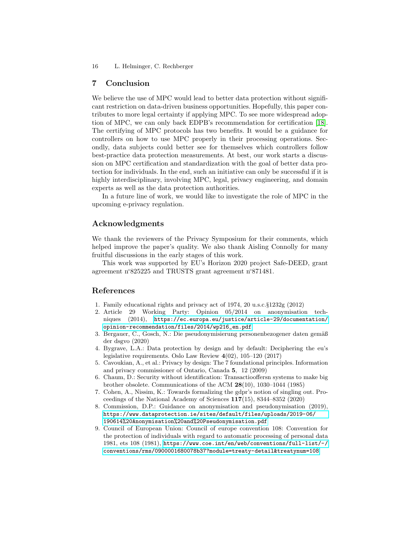16 L. Helminger, C. Rechberger

## 7 Conclusion

We believe the use of MPC would lead to better data protection without significant restriction on data-driven business opportunities. Hopefully, this paper contributes to more legal certainty if applying MPC. To see more widespread adoption of MPC, we can only back EDPB's recommendation for certification [\[18\]](#page-16-18). The certifying of MPC protocols has two benefits. It would be a guidance for controllers on how to use MPC properly in their processing operations. Secondly, data subjects could better see for themselves which controllers follow best-practice data protection measurements. At best, our work starts a discussion on MPC certification and standardization with the goal of better data protection for individuals. In the end, such an initiative can only be successful if it is highly interdisciplinary, involving MPC, legal, privacy engineering, and domain experts as well as the data protection authorities.

In a future line of work, we would like to investigate the role of MPC in the upcoming e-privacy regulation.

## Acknowledgments

We thank the reviewers of the Privacy Symposium for their comments, which helped improve the paper's quality. We also thank Aisling Connolly for many fruitful discussions in the early stages of this work.

This work was supported by EU's Horizon 2020 project Safe-DEED, grant agreement n◦825225 and TRUSTS grant agreement n◦871481.

## References

- <span id="page-15-7"></span>1. Family educational rights and privacy act of 1974, 20 u.s.c.§1232g (2012)
- <span id="page-15-0"></span>2. Article 29 Working Party: Opinion 05/2014 on anonymisation techniques (2014), [https://ec.europa.eu/justice/article-29/documentation/](https://ec.europa.eu/justice/article-29/documentation/opinion-recommendation/files/2014/wp216_en.pdf) [opinion-recommendation/files/2014/wp216\\_en.pdf](https://ec.europa.eu/justice/article-29/documentation/opinion-recommendation/files/2014/wp216_en.pdf)
- <span id="page-15-1"></span>3. Bergauer, C., Gosch, N.: Die pseudonymisierung personenbezogener daten gemäß der dsgvo (2020)
- <span id="page-15-6"></span>4. Bygrave, L.A.: Data protection by design and by default: Deciphering the eu's legislative requirements. Oslo Law Review 4(02), 105–120 (2017)
- <span id="page-15-3"></span>5. Cavoukian, A., et al.: Privacy by design: The 7 foundational principles. Information and privacy commissioner of Ontario, Canada 5, 12 (2009)
- <span id="page-15-4"></span>6. Chaum, D.: Security without identification: Transactiooffersn systems to make big brother obsolete. Communications of the ACM 28(10), 1030–1044 (1985)
- <span id="page-15-8"></span>7. Cohen, A., Nissim, K.: Towards formalizing the gdpr's notion of singling out. Proceedings of the National Academy of Sciences 117(15), 8344–8352 (2020)
- <span id="page-15-2"></span>8. Commission, D.P.: Guidance on anonymisation and pseudonymisation (2019), [https://www.dataprotection.ie/sites/default/files/uploads/2019-06/](https://www.dataprotection.ie/sites/default/files/uploads/2019-06/190614%20Anonymisation%20and%20Pseudonymisation.pdf) [190614%20Anonymisation%20and%20Pseudonymisation.pdf](https://www.dataprotection.ie/sites/default/files/uploads/2019-06/190614%20Anonymisation%20and%20Pseudonymisation.pdf)
- <span id="page-15-5"></span>9. Council of European Union: Council of europe convention 108: Convention for the protection of individuals with regard to automatic processing of personal data 1981, ets 108 (1981), [https://www.coe.int/en/web/conventions/full-list/-/](https://www.coe.int/en/web/conventions/full-list/-/conventions/rms/0900001680078b37?module=treaty-detail&treatynum=108) [conventions/rms/0900001680078b37?module=treaty-detail&treatynum=108](https://www.coe.int/en/web/conventions/full-list/-/conventions/rms/0900001680078b37?module=treaty-detail&treatynum=108)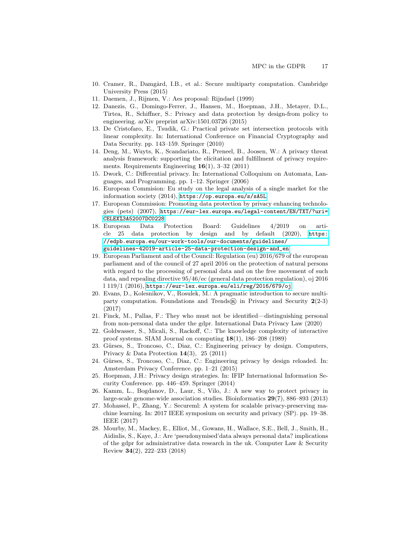- <span id="page-16-6"></span>10. Cramer, R., Damgård, I.B., et al.: Secure multiparty computation. Cambridge University Press (2015)
- <span id="page-16-8"></span>11. Daemen, J., Rijmen, V.: Aes proposal: Rijndael (1999)
- <span id="page-16-13"></span>12. Danezis, G., Domingo-Ferrer, J., Hansen, M., Hoepman, J.H., Metayer, D.L., Tirtea, R., Schiffner, S.: Privacy and data protection by design-from policy to engineering. arXiv preprint arXiv:1501.03726 (2015)
- <span id="page-16-7"></span>13. De Cristofaro, E., Tsudik, G.: Practical private set intersection protocols with linear complexity. In: International Conference on Financial Cryptography and Data Security. pp. 143–159. Springer (2010)
- <span id="page-16-17"></span>14. Deng, M., Wuyts, K., Scandariato, R., Preneel, B., Joosen, W.: A privacy threat analysis framework: supporting the elicitation and fulfillment of privacy requirements. Requirements Engineering 16(1), 3–32 (2011)
- <span id="page-16-1"></span>15. Dwork, C.: Differential privacy. In: International Colloquium on Automata, Languages, and Programming. pp. 1–12. Springer (2006)
- <span id="page-16-9"></span>16. European Commision: Eu study on the legal analysis of a single market for the information society (2014), <https://op.europa.eu/s/sA5L>
- <span id="page-16-16"></span>17. European Commission: Promoting data protection by privacy enhancing technologies (pets) (2007), [https://eur-lex.europa.eu/legal-content/EN/TXT/?uri=](https://eur-lex.europa.eu/legal-content/EN/TXT/?uri=CELEX%3A52007DC0228) [CELEX%3A52007DC0228](https://eur-lex.europa.eu/legal-content/EN/TXT/?uri=CELEX%3A52007DC0228)
- <span id="page-16-18"></span>18. European Data Protection Board: Guidelines 4/2019 on article 25 data protection by design and by default (2020), [https:](https://edpb.europa.eu/our-work-tools/our-documents/guidelines/guidelines-42019-article-25-data-protection-design-and_en) [//edpb.europa.eu/our-work-tools/our-documents/guidelines/](https://edpb.europa.eu/our-work-tools/our-documents/guidelines/guidelines-42019-article-25-data-protection-design-and_en) [guidelines-42019-article-25-data-protection-design-and\\_en](https://edpb.europa.eu/our-work-tools/our-documents/guidelines/guidelines-42019-article-25-data-protection-design-and_en)
- <span id="page-16-0"></span>19. European Parliament and of the Council: Regulation (eu) 2016/679 of the european parliament and of the council of 27 april 2016 on the protection of natural persons with regard to the processing of personal data and on the free movement of such data, and repealing directive 95/46/ec (general data protection regulation), oj 2016 l 119/1 (2016), <https://eur-lex.europa.eu/eli/reg/2016/679/oj>
- <span id="page-16-5"></span>20. Evans, D., Kolesnikov, V., Rosulek, M.: A pragmatic introduction to secure multiparty computation. Foundations and Trends $\mathbb R$  in Privacy and Security 2(2-3) (2017)
- <span id="page-16-11"></span>21. Finck, M., Pallas, F.: They who must not be identified—distinguishing personal from non-personal data under the gdpr. International Data Privacy Law (2020)
- <span id="page-16-2"></span>22. Goldwasser, S., Micali, S., Rackoff, C.: The knowledge complexity of interactive proof systems. SIAM Journal on computing  $18(1)$ , 186–208 (1989)
- <span id="page-16-14"></span>23. Gürses, S., Troncoso, C., Diaz, C.: Engineering privacy by design. Computers, Privacy & Data Protection 14(3), 25 (2011)
- <span id="page-16-15"></span>24. Gürses, S., Troncoso, C., Diaz, C.: Engineering privacy by design reloaded. In: Amsterdam Privacy Conference. pp. 1–21 (2015)
- <span id="page-16-12"></span>25. Hoepman, J.H.: Privacy design strategies. In: IFIP International Information Security Conference. pp. 446–459. Springer (2014)
- <span id="page-16-3"></span>26. Kamm, L., Bogdanov, D., Laur, S., Vilo, J.: A new way to protect privacy in large-scale genome-wide association studies. Bioinformatics 29(7), 886–893 (2013)
- <span id="page-16-4"></span>27. Mohassel, P., Zhang, Y.: Secureml: A system for scalable privacy-preserving machine learning. In: 2017 IEEE symposium on security and privacy (SP). pp. 19–38. IEEE (2017)
- <span id="page-16-10"></span>28. Mourby, M., Mackey, E., Elliot, M., Gowans, H., Wallace, S.E., Bell, J., Smith, H., Aidinlis, S., Kaye, J.: Are 'pseudonymised'data always personal data? implications of the gdpr for administrative data research in the uk. Computer Law & Security Review 34(2), 222–233 (2018)